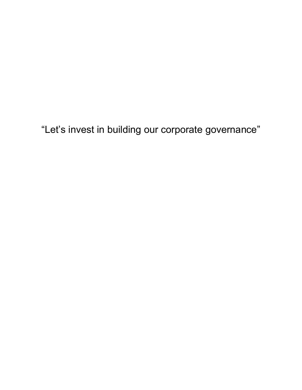"Let's invest in building our corporate governance"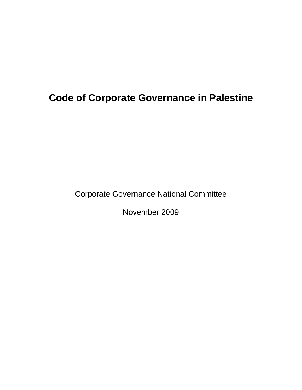# **Code of Corporate Governance in Palestine**

Corporate Governance National Committee

November 2009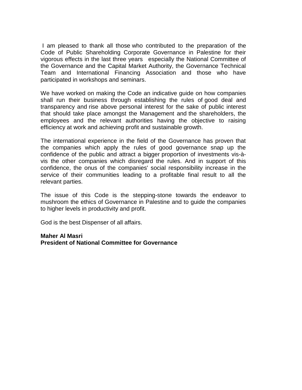I am pleased to thank all those who contributed to the preparation of the Code of Public Shareholding Corporate Governance in Palestine for their vigorous effects in the last three years especially the National Committee of the Governance and the Capital Market Authority, the Governance Technical Team and International Financing Association and those who have participated in workshops and seminars.

We have worked on making the Code an indicative guide on how companies shall run their business through establishing the rules of good deal and transparency and rise above personal interest for the sake of public interest that should take place amongst the Management and the shareholders, the employees and the relevant authorities having the objective to raising efficiency at work and achieving profit and sustainable growth.

The international experience in the field of the Governance has proven that the companies which apply the rules of good governance snap up the confidence of the public and attract a bigger proportion of investments vis-àvis the other companies which disregard the rules. And in support of this confidence, the onus of the companies' social responsibility increase in the service of their communities leading to a profitable final result to all the relevant parties.

The issue of this Code is the stepping-stone towards the endeavor to mushroom the ethics of Governance in Palestine and to guide the companies to higher levels in productivity and profit.

God is the best Dispenser of all affairs.

#### **Maher Al Masri President of National Committee for Governance**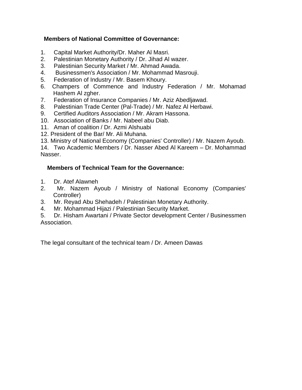# **Members of National Committee of Governance:**

- 1. Capital Market Authority/Dr. Maher Al Masri.
- 2. Palestinian Monetary Authority / Dr. Jihad Al wazer.
- 3. Palestinian Security Market / Mr. Ahmad Awada.
- 4. Businessmen's Association / Mr. Mohammad Masrouji.
- 5. Federation of Industry / Mr. Basem Khoury.
- 6. Champers of Commence and Industry Federation / Mr. Mohamad Hashem AI zgher.
- 7. Federation of Insurance Companies / Mr. Aziz Abedljawad.
- 8. Palestinian Trade Center (Pal-Trade) / Mr. Nafez Al Herbawi.
- 9. Certified Auditors Association / Mr. Akram Hassona.
- 10. Association of Banks / Mr. Nabeel abu Diab.
- 11. Aman of coalition / Dr. Azmi Alshuabi
- 12. President of the Bar/ Mr. Ali Muhana.
- 13. Ministry of National Economy (Companies' Controller) / Mr. Nazem Ayoub.

14. Two Academic Members / Dr. Nasser Abed Al Kareem – Dr. Mohammad Nasser.

# **Members of Technical Team for the Governance:**

- 1. Dr. Atef Alawneh
- 2. Mr. Nazem Ayoub / Ministry of National Economy (Companies' Controller)
- 3. Mr. Reyad Abu Shehadeh / Palestinian Monetary Authority.
- 4. Mr. Mohammad Hijazi / Palestinian Security Market.

5. Dr. Hisham Awartani / Private Sector development Center / Businessmen Association.

The legal consultant of the technical team / Dr. Ameen Dawas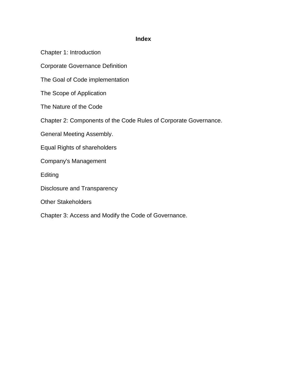#### **Index**

Chapter 1: Introduction

Corporate Governance Definition

The Goal of Code implementation

The Scope of Application

The Nature of the Code

Chapter 2: Components of the Code Rules of Corporate Governance.

General Meeting Assembly.

Equal Rights of shareholders

Company's Management

**Editing** 

Disclosure and Transparency

Other Stakeholders

Chapter 3: Access and Modify the Code of Governance.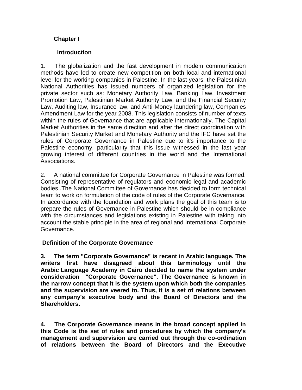# **Chapter I**

## **Introduction**

1. The globalization and the fast development in modem communication methods have led to create new competition on both local and international level for the working companies in Palestine. In the last years, the Palestinian National Authorities has issued numbers of organized legislation for the private sector such as: Monetary Authority Law, Banking Law, Investment Promotion Law, Palestinian Market Authority Law, and the Financial Security Law, Auditing law, Insurance law, and Anti-Money laundering law, Companies Amendment Law for the year 2008. This legislation consists of number of texts within the rules of Governance that are applicable internationally. The Capital Market Authorities in the same direction and after the direct coordination with Palestinian Security Market and Monetary Authority and the IFC have set the rules of Corporate Governance in Palestine due to it's importance to the Palestine economy, particularity that this issue witnessed in the last year growing interest of different countries in the world and the International Associations.

2. A national committee for Corporate Governance in Palestine was formed. Consisting of representative of regulators and economic legal and academic bodies .The National Committee of Governance has decided to form technical team to work on formulation of the code of rules of the Corporate Governance. In accordance with the foundation and work plans the goal of this team is to prepare the rules of Governance in Palestine which should be in-compliance with the circumstances and legislations existing in Palestine with taking into account the stable principle in the area of regional and International Corporate Governance.

# **Definition of the Corporate Governance**

**3. The term "Corporate Governance" is recent in Arabic language. The writers first have disagreed about this terminology until the Arabic Language Academy in Cairo decided to name the system under consideration "Corporate Governance". The Governance is known in the narrow concept that it is the system upon which both the companies and the supervision are veered to. Thus, it is a set of relations between any company's executive body and the Board of Directors and the Shareholders.**

**4. The Corporate Governance means in the broad concept applied in this Code is the set of rules and procedures by which the company's management and supervision are carried out through the co-ordination of relations between the Board of Directors and the Executive**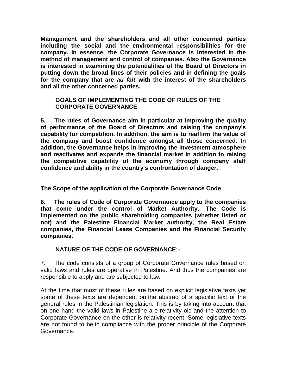**Management and the shareholders and all other concerned parties including the social and the environmental responsibilities for the company. In essence, the Corporate Governance is interested in the method of management and control of companies. Also the Governance is interested in examining the potentialities of the Board of Directors in putting down the broad lines of their policies and in defining the goals for the company that are** *au fait* **with the interest of the shareholders and all the other concerned parties.**

#### **GOALS OF IMPLEMENTING THE CODE OF RULES OF THE CORPORATE GOVERNANCE**

**5. The rules of Governance aim in particular at improving the quality of performance of the Board of Directors and raising the company's capability for competition. In addition, the aim is to reaffirm the value of the company and boost confidence amongst all those concerned. In addition, the Governance helps in improving the investment atmosphere and reactivates and expands the financial market in addition to raising the competitive capability of the economy through company staff confidence and ability in the country's confrontation of danger.**

**The Scope of the application of the Corporate Governance Code**

**6. The rules of Code of Corporate Governance apply to the companies that come under the control of Market Authority. The Code is implemented on the public shareholding companies (whether listed or not) and the Palestine Financial Market authority, the Real Estate companies, the Financial Lease Companies and the Financial Security companies**.

# **NATURE OF THE CODE OF GOVERNANCE:-**

7. The code consists of a group of Corporate Governance rules based on valid laws and rules are operative in Palestine. And thus the companies are responsible to apply and are subjected to law.

At the time that most of these rules are based on explicit legislative texts yet some of these texts are dependent on the abstract of a specific text or the general rules in the Palestinian legislation. This is by taking into account that on one hand the valid laws in Palestine are relativity old and the attention to Corporate Governance on the other is relativity recent. Some legislative texts are not found to be in compliance with the proper principle of the Corporate Governance.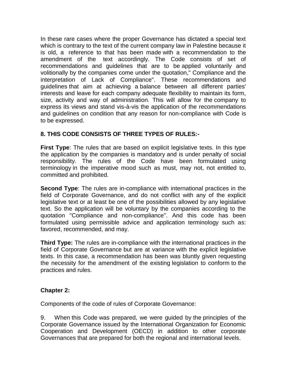In these rare cases where the proper Governance has dictated a special text which is contrary to the text of the current company law in Palestine because it is old, a reference to that has been made with a recommendation to the amendment of the text accordingly. The Code consists of set of recommendations and guidelines that are to be applied voluntarily and volitionally by the companies come under the quotation," Compliance and the interpretation of Lack of Compliance". These recommendations and guidelines that aim at achieving a balance between all different parties' interests and leave for each company adequate flexibility to maintain its form, size, activity and way of administration. This will allow for the company to express its views and stand vis-à-vis the application of the recommendations and guidelines on condition that any reason for non-compliance with Code is to be expressed.

# **8. THIS CODE CONSISTS OF THREE TYPES OF RULES:-**

**First Type**: The rules that are based on explicit legislative texts. In this type the application by the companies is mandatory and is under penalty of social responsibility. The rules of the Code have been formulated using terminology in the imperative mood such as must, may not, not entitled to, committed and prohibited.

**Second Type**: The rules are in-compliance with international practices in the field of Corporate Governance, and do not conflict with any of the explicit legislative text or at least be one of the possibilities allowed by any legislative text. So the application will be voluntary by the companies according to the quotation "Compliance and non-compliance". And this code has been formulated using permissible advice and application terminology such as: favored, recommended, and may.

**Third Type:** The rules are in-compliance with the international practices in the field of Corporate Governance but are at variance with the explicit legislative texts. In this case, a recommendation has been was bluntly given requesting the necessity for the amendment of the existing legislation to conform to the practices and rules.

#### **Chapter 2:**

Components of the code of rules of Corporate Governance:

9. When this Code was prepared, we were guided by the principles of the Corporate Governance issued by the International Organization for Economic Cooperation and Development (OECD) in addition to other corporate Governances that are prepared for both the regional and international levels.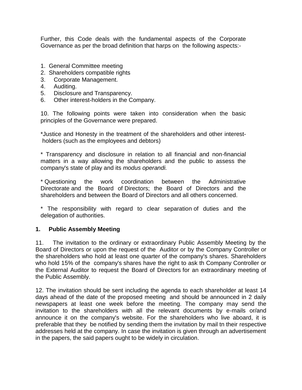Further, this Code deals with the fundamental aspects of the Corporate Governance as per the broad definition that harps on the following aspects:-

- 1. General Committee meeting
- 2. Shareholders compatible rights
- 3. Corporate Management.
- 4. Auditing.
- 5. Disclosure and Transparency.
- 6. Other interest-holders in the Company.

10. The following points were taken into consideration when the basic principles of the Governance were prepared.

\*Justice and Honesty in the treatment of the shareholders and other interestholders (such as the employees and debtors)

\* Transparency and disclosure in relation to all financial and non-financial matters in a way allowing the shareholders and the public to assess the company's state of play and its *modus operandi.*

\* Questioning the work coordination between the Administrative Directorate and the Board of Directors; the Board of Directors and the shareholders and between the Board of Directors and all others concerned.

\* The responsibility with regard to clear separation of duties and the delegation of authorities.

#### **1. Public Assembly Meeting**

11. The invitation to the ordinary or extraordinary Public Assembly Meeting by the Board of Directors or upon the request of the Auditor or by the Company Controller or the shareholders who hold at least one quarter of the company's shares. Shareholders who hold 15% of the company's shares have the right to ask th Company Controller or the External Auditor to request the Board of Directors for an extraordinary meeting of the Public Assembly.

12. The invitation should be sent including the agenda to each shareholder at least 14 days ahead of the date of the proposed meeting and should be announced in 2 daily newspapers at least one week before the meeting. The company may send the invitation to the shareholders with all the relevant documents by e-mails or/and announce it on the company's website. For the shareholders who live aboard, it is preferable that they be notified by sending them the invitation by mail tn their respective addresses held at the company. In case the invitation is given through an advertisement in the papers, the said papers ought to be widely in circulation.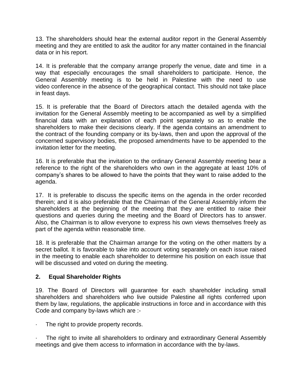13. The shareholders should hear the external auditor report in the General Assembly meeting and they are entitled to ask the auditor for any matter contained in the financial data or in his report.

14. It is preferable that the company arrange properly the venue, date and time in a way that especially encourages the small shareholders to participate. Hence, the General Assembly meeting is to be held in Palestine with the need to use video conference in the absence of the geographical contact. This should not take place in feast days.

15. It is preferable that the Board of Directors attach the detailed agenda with the invitation for the General Assembly meeting to be accompanied as well by a simplified financial data with an explanation of each point separately so as to enable the shareholders to make their decisions clearly. If the agenda contains an amendment to the contract of the founding company or its by-laws, then and upon the approval of the concerned supervisory bodies, the proposed amendments have to be appended to the invitation letter for the meeting.

16. It is preferable that the invitation to the ordinary General Assembly meeting bear a reference to the right of the shareholders who own in the aggregate at least 10% of company's shares to be allowed to have the points that they want to raise added to the agenda.

17. It is preferable to discuss the specific items on the agenda in the order recorded therein; and it is also preferable that the Chairman of the General Assembly inform the shareholders at the beginning of the meeting that they are entitled to raise their questions and queries during the meeting and the Board of Directors has to answer. Also, the Chairman is to allow everyone to express his own views themselves freely as part of the agenda within reasonable time.

18. It is preferable that the Chairman arrange for the voting on the other matters by a secret ballot. It is favorable to take into account voting separately on each issue raised in the meeting to enable each shareholder to determine his position on each issue that will be discussed and voted on during the meeting.

# **2. Equal Shareholder Rights**

19. The Board of Directors will guarantee for each shareholder including small shareholders and shareholders who live outside Palestine all rights conferred upon them by law, regulations, the applicable instructions in force and in accordance with this Code and company by-laws which are :-

The right to provide property records.

The right to invite all shareholders to ordinary and extraordinary General Assembly meetings and give them access to information in accordance with the by-laws.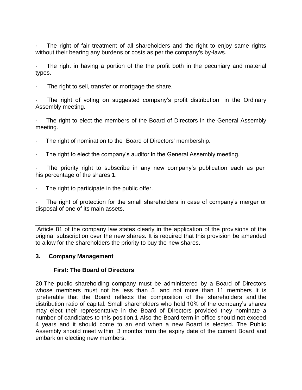The right of fair treatment of all shareholders and the right to enjoy same rights without their bearing any burdens or costs as per the company's by-laws.

The right in having a portion of the the profit both in the pecuniary and material types.

The right to sell, transfer or mortgage the share.

The right of voting on suggested company's profit distribution in the Ordinary Assembly meeting.

The right to elect the members of the Board of Directors in the General Assembly meeting.

- The right of nomination to the Board of Directors' membership.
- The right to elect the company's auditor in the General Assembly meeting.

The priority right to subscribe in any new company's publication each as per his percentage of the shares 1.

The right to participate in the public offer.

The right of protection for the small shareholders in case of company's merger or disposal of one of its main assets.

\_\_\_\_\_\_\_\_\_\_\_\_\_\_\_\_\_\_\_\_\_\_\_\_\_\_\_\_\_\_\_\_\_\_\_\_\_\_\_\_\_\_\_\_\_\_\_\_\_\_\_\_\_\_\_\_ Article 81 of the company law states clearly in the application of the provisions of the original subscription over the new shares. It is required that this provision be amended to allow for the shareholders the priority to buy the new shares.

#### **3. Company Management**

#### **First: The Board of Directors**

20.The public shareholding company must be administered by a Board of Directors whose members must not be less than 5 and not more than 11 members It is preferable that the Board reflects the composition of the shareholders and the distribution ratio of capital. Small shareholders who hold 10% of the company's shares may elect their representative in the Board of Directors provided they nominate a number of candidates to this position.1 Also the Board term in office should not exceed 4 years and it should come to an end when a new Board is elected. The Public Assembly should meet within 3 months from the expiry date of the current Board and embark on electing new members.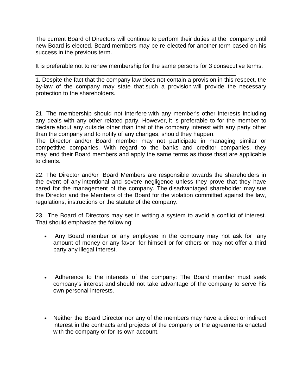The current Board of Directors will continue to perform their duties at the company until new Board is elected. Board members may be re-elected for another term based on his success in the previous term.

It is preferable not to renew membership for the same persons for 3 consecutive terms.

\_\_\_\_\_\_\_\_\_\_\_\_\_\_\_\_\_\_\_\_\_\_\_\_\_\_\_\_\_\_\_\_\_\_\_\_\_\_\_\_\_\_\_\_\_\_\_\_\_\_\_\_\_\_\_\_\_\_\_\_\_ 1. Despite the fact that the company law does not contain a provision in this respect, the by-law of the company may state that such a provision will provide the necessary protection to the shareholders.

21. The membership should not interfere with any member's other interests including any deals with any other related party. However, it is preferable to for the member to declare about any outside other than that of the company interest with any party other than the company and to notify of any changes, should they happen.

The Director and/or Board member may not participate in managing similar or competitive companies. With regard to the banks and creditor companies, they may lend their Board members and apply the same terms as those thsat are applicable to clients.

22. The Director and/or Board Members are responsible towards the shareholders in the event of any intentional and severe negligence unless they prove that they have cared for the management of the company. The disadvantaged shareholder may sue the Director and the Members of the Board for the violation committed against the law, regulations, instructions or the statute of the company.

23. The Board of Directors may set in writing a system to avoid a conflict of interest. That should emphasize the following:

- Any Board member or any employee in the company may not ask for any amount of money or any favor for himself or for others or may not offer a third party any illegal interest.
- Adherence to the interests of the company: The Board member must seek company's interest and should not take advantage of the company to serve his own personal interests.
- Neither the Board Director nor any of the members may have a direct or indirect interest in the contracts and projects of the company or the agreements enacted with the company or for its own account.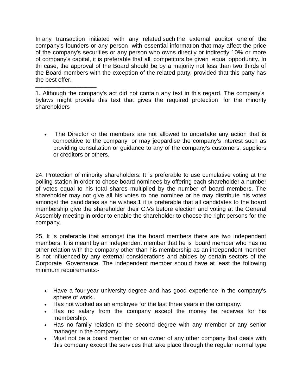In any transaction initiated with any related such the external auditor one of the company's founders or any person with essential information that may affect the price of the company's securities or any person who owns directly or indirectly 10% or more of company's capital, it is preferable that alll competitors be given equal opportunity. In thi case, the approval of the Board should be by a majority not less than two thirds of the Board members with the exception of the related party, provided that this party has the best offer.

1. Although the company's act did not contain any text in this regard. The company's bylaws might provide this text that gives the required protection for the minority shareholders

ــــــــــــــــــــــــــــــــــــــــــــــــــ

• The Director or the members are not allowed to undertake any action that is competitive to the company or may jeopardise the company's interest such as providing consultation or guidance to any of the company's customers, suppliers or creditors or others.

24. Protection of minority shareholders: It is preferable to use cumulative voting at the polling station in order to chose board nominees by offering each shareholder a number of votes equal to his total shares multiplied by the number of board members. The shareholder may not give all his votes to one nominee or he may distribute his votes amongst the candidates as he wishes,1 it is preferable that all candidates to the board membership give the shareholder their C.Vs before election and voting at the General Assembly meeting in order to enable the shareholder to choose the right persons for the company.

25. It is preferable that amongst the the board members there are two independent members. It is meant by an independent member that he is board member who has no other relation with the company other than his membership as an independent member is not influenced by any external considerations and abides by certain sectors of the Corporate Governance. The independent member should have at least the following minimum requirements:-

- Have a four year university degree and has good experience in the company's sphere of work..
- Has not worked as an employee for the last three years in the company.
- Has no salary from the company except the money he receives for his membership.
- Has no family relation to the second degree with any member or any senior manager in the company.
- Must not be a board member or an owner of any other company that deals with this company except the services that take place through the regular normal type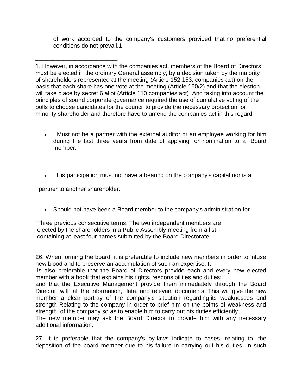of work accorded to the company's customers provided that no preferential conditions do not prevail.1

1. However, in accordance with the companies act, members of the Board of Directors must be elected in the ordinary General assembly, by a decision taken by the majority of shareholders represented at the meeting (Article 152,153, companies act) on the basis that each share has one vote at the meeting (Article 160/2) and that the election will take place by secret 6 allot (Article 110 companies act) And taking into account the principles of sound corporate governance required the use of cumulative voting of the polls to choose candidates for the council to provide the necessary protection for minority shareholder and therefore have to amend the companies act in this regard

- Must not be a partner with the external auditor or an employee working for him during the last three years from date of applying for nomination to a Board member.
- His participation must not have a bearing on the company's capital nor is a

partner to another shareholder.

ـــــــــــــــــــــــــــــــــــــــــــــــــــــــــــــــــــ

Should not have been a Board member to the company's administration for

Three previous consecutive terms. The two independent members are elected by the shareholders in a Public Assembly meeting from a list containing at least four names submitted by the Board Directorate.

26. When forming the board, it is preferable to include new members in order to infuse new blood and to preserve an accumulation of such an expertise. It

is also preferable that the Board of Directors provide each and every new elected member with a book that explains his rights, responsibilities and duties;

and that the Executive Management provide them immediately through the Board Director with all the information, data, and relevant documents. This will give the new member a clear portray of the company's situation regarding its weaknesses and strength Relating to the company in order to brief him on the points of weakness and strength of the company so as to enable him to carry out his duties efficiently.

The new member may ask the Board Director to provide him with any necessary additional information.

27. It is preferable that the company's by-laws indicate to cases relating to the deposition of the board member due to his failure in carrying out his duties. In such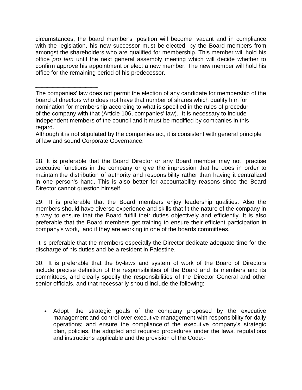circumstances, the board member's position will become vacant and in compliance with the legislation, his new successor must be elected by the Board members from amongst the shareholders who are qualified for membership. This member will hold his office *pro tem* until the next general assembly meeting which will decide whether to confirm approve his appointment or elect a new member. The new member will hold his office for the remaining period of his predecessor.

ـــــــــــــــــــــــــــــــــــــــــــــــــــ

Although it is not stipulated by the companies act, it is consistent with general principle of law and sound Corporate Governance.

28. It is preferable that the Board Director or any Board member may not practise executive functions in the company or give the impression that he does in order to maintain the distribution of authority and responsibility rather than having it centralized in one person's hand. This is also better for accountability reasons since the Board Director cannot question himself.

29. It is preferable that the Board members enjoy leadership qualities. Also the members should have diverse experience and skills that fit the nature of the company in a way to ensure that the Board fulfill their duties objectively and efficiently. It is also preferable that the Board members get training to ensure their efficient participation in company's work, and if they are working in one of the boards committees.

It is preferable that the members especially the Director dedicate adequate time for the discharge of his duties and be a resident in Palestine.

30. It is preferable that the by-laws and system of work of the Board of Directors include precise definition of the responsibilities of the Board and its members and its committees, and clearly specify the responsibilities of the Director General and other senior officials, and that necessarily should include the following:

 Adopt the strategic goals of the company proposed by the executive management and control over executive management with responsibility for daily operations; and ensure the compliance of the executive company's strategic plan, policies, the adopted and required procedures under the laws, regulations and instructions applicable and the provision of the Code:-

The companies' law does not permit the election of any candidate for membership of the board of directors who does not have that number of shares which qualify him for nomination for membership according to what is specified in the rules of procedur of the company with that (Article 106, companies' law). It is necessary to include independent members of the council and it must be modified by companies in this regard.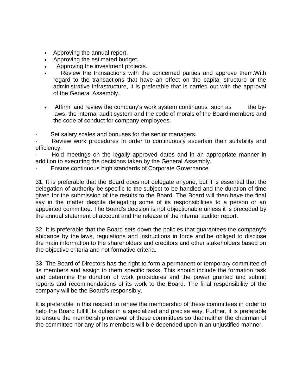- Approving the annual report.
- Approving the estimated budget.
- Approving the investment projects.
- Review the transactions with the concerned parties and approve them.With regard to the transactions that have an effect on the capital structure or the administrative infrastructure, it is preferable that is carried out with the approval of the General Assembly.
- Affirm and review the company's work system continuous such as the bylaws, the internal audit system and the code of morals of the Board members and the code of conduct for company employees.

Set salary scales and bonuses for the senior managers.

Review work procedures in order to continuously ascertain their suitability and efficiency.

· Hold meetings on the legally approved dates and in an appropriate manner in addition to executing the decisions taken by the General Assembly.

Ensure continuous high standards of Corporate Governance.

31. It is preferable that the Board does not delegate anyone, but it is essential that the delegation of authority be specific to the subject to be handled and the duration of time given for the submission of the results to the Board. The Board will then have the final say in the matter despite delegating some of its responsibilities to a person or an appointed committee. The Board's decision is not objectionable unless it is preceded by the annual statement of account and the release of the internal auditor report.

32. It is preferable that the Board sets down the policies that guarantees the company's abidance by the laws, regulations and instructions in force and be obliged to disclose the main information to the shareholders and creditors and other stakeholders based on the objective criteria and not formative criteria.

33. The Board of Directors has the right to form a permanent or temporary committee of its members and assign to them specific tasks. This should include the formation task and determine the duration of work procedures and the power granted and submit reports and recommendations of its work to the Board. The final responsibility of the company will be the Board's responsibly.

It is preferable in this respect to renew the membership of these committees in order to help the Board fulfill its duties in a specialized and precise way. Further, it is preferable to ensure the membership renewal of these committees so that neither the chairman of the committee nor any of its members will b e depended upon in an unjustified manner.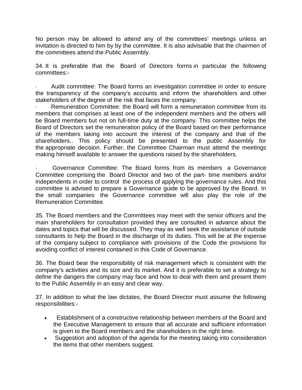No person may be allowed to attend any of the committees' meetings unless an invitation is directed to him by by the committee. It is also advisable that the chairmen of the committees attend the Public Assembly.

34. It is preferable that the Board of Directors forms in particular the following committees:-

Audit committee: The Board forms an investigation committee in order to ensure the transparency of the company's accounts and inform the shareholders and other stakeholders of the degree of the risk that faces the company.

Remuneration Committee: the Board will form a remuneration committee from its members that comprises at least one of the independent members and the others will be Board members but not on full-time duty at the company. This committee helps the Board of Directors set the remuneration policy of the Board based on their performance of the members taking into account the interest of the company and that of the shareholders.. This policy should be presented to the public Assembly for the appropriate decision. Further, the Committee Chairman must attend the meetings making himself available to answer the questions raised by the shareholders.

· Governance Committee: The Board forms from its members a Governance Committee comprising the Board Director and two of the part- time members and/or independents in order to control the process of applying the governance rules. And this committee is advised to prepare a Governance guide to be approved by the Board. In the small companies the Governance committee will also play the role of the Remuneration Committee.

35. The Board members and the Committees may meet with the senior officers and the main shareholders for consultation provided they are consulted in advance about the dates and topics that will be discussed. They may as well seek the assistance of outside consultants to help the Board in the discharge of its duties. This will be at the expense of the company subject to compliance with provisions of the Code the provisions for avoiding conflict of interest contained in this Code of Governance.

36. The Board bear the responsibility of risk management which is consistent with the company's activities and its size and its market. And it is preferable to set a strategy to define the dangers the company may face and how to deal with them and present them to the Public Assembly in an easy and clear way.

37. In addition to what the law dictates, the Board Director must assume the following responsibilities:-

- Establishment of a constructive relationship between members of the Board and the Executive Management to ensure that all accurate and sufficient information is given to the Board members and the shareholders in the right time.
- Suggestion and adoption of the agenda for the meeting taking into consideration the items that other members suggest.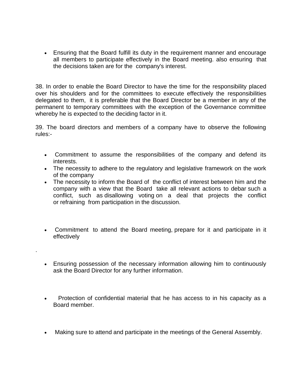Ensuring that the Board fulfill its duty in the requirement manner and encourage all members to participate effectively in the Board meeting. also ensuring that the decisions taken are for the company's interest.

38. In order to enable the Board Director to have the time for the responsibility placed over his shoulders and for the committees to execute effectively the responsibilities delegated to them, it is preferable that the Board Director be a member in any of the permanent to temporary committees with the exception of the Governance committee whereby he is expected to the deciding factor in it.

39. The board directors and members of a company have to observe the following rules:-

- Commitment to assume the responsibilities of the company and defend its interests.
- The necessity to adhere to the regulatory and legislative framework on the work of the company
- The necessity to inform the Board of the conflict of interest between him and the company with a view that the Board take all relevant actions to debar such a conflict, such as disallowing voting on a deal that projects the conflict or refraining from participation in the discussion.
- Commitment to attend the Board meeting, prepare for it and participate in it effectively
- Ensuring possession of the necessary information allowing him to continuously ask the Board Director for any further information.

.

- Protection of confidential material that he has access to in his capacity as a Board member.
- Making sure to attend and participate in the meetings of the General Assembly.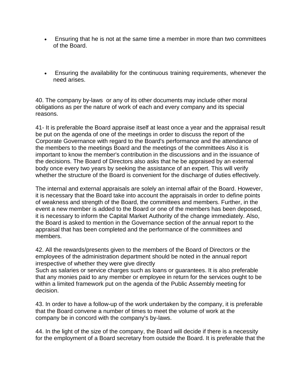- Ensuring that he is not at the same time a member in more than two committees of the Board.
- Ensuring the availability for the continuous training requirements, whenever the need arises.

40. The company by-laws or any of its other documents may include other moral obligations as per the nature of work of each and every company and its special reasons.

41- It is preferable the Board appraise itself at least once a year and the appraisal result be put on the agenda of one of the meetings in order to discuss the report of the Corporate Governance with regard to the Board's performance and the attendance of the members to the meetings Board and the meetings of the committees Also it is important to know the member's contribution in the discussions and in the issuance of the decisions. The Board of Directors also asks that he be appraised by an external body once every two years by seeking the assistance of an expert. This will verify whether the structure of the Board is convenient for the discharge of duties effectively.

The internal and external appraisals are solely an internal affair of the Board. However, it is necessary that the Board take into account the appraisals in order to define points of weakness and strength of the Board, the committees and members. Further, in the event a new member is added to the Board or one of the members has been deposed, it is necessary to inform the Capital Market Authority of the change immediately. Also, the Board is asked to mention in the Governance section of the annual report to the appraisal that has been completed and the performance of the committees and members.

42. All the rewards/presents given to the members of the Board of Directors or the employees of the administration department should be noted in the annual report irrespective of whether they were give directly

Such as salaries or service charges such as loans or guarantees. It is also preferable that any monies paid to any member or employee in return for the services ought to be within a limited framework put on the agenda of the Public Assembly meeting for decision.

43. In order to have a follow-up of the work undertaken by the company, it is preferable that the Board convene a number of times to meet the volume of work at the company be in concord with the company's by-laws.

44. In the light of the size of the company, the Board will decide if there is a necessity for the employment of a Board secretary from outside the Board. It is preferable that the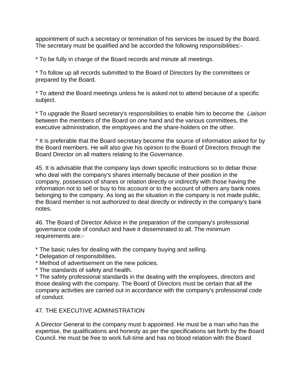appointment of such a secretary or termination of his services be issued by the Board. The secretary must be qualified and be accorded the following responsibilities:-

\* To be fully in charge of the Board records and minute all meetings.

\* To follow up all records submitted to the Board of Directors by the committees or prepared by the Board.

\* To attend the Board meetings unless he is asked not to attend because of a specific subject.

\* To upgrade the Board secretary's responsibilities to enable him to become the *Liaison*  between the members of the Board on one hand and the various committees, the executive administration, the employees and the share-holders on the other.

\* It is preferable that the Board secretary become the source of information asked for by the Board members. He will also give his opinion to the Board of Directors through the Board Director on all matters relating to the Governance.

45. It is advisable that the company lays down specific instructions so to debar those who deal with the company's shares internally because of their position in the company, possession of shares or relation directly or indirectly with those having the information not to sell or buy to his account or to the account of others any bank notes belonging to the company. As long as the situation in the company is not made public, the Board member is not authorized to deal directly or indirectly in the company's bank notes.

46. The Board of Director Advice in the preparation of the company's professional governance code of conduct and have it disseminated to all. The minimum requirements are:-

- \* The basic rules for dealing with the company buying and selling.
- \* Delegation of responsibilities.
- \* Method of advertisement on the new policies.
- \* The standards of safety and health.

\* The safety professional standards in the dealing with the employees, directors and those dealing with the company. The Board of Directors must be certain that all the company activities are carried out in accordance with the company's professional code of conduct.

# 47. THE EXECUTIVE ADMINISTRATION

A Director General to the company must b appointed. He must be a man who has the expertise, the qualifications and honesty as per the specifications set forth by the Board Council. He must be free to work full-time and has no blood relation with the Board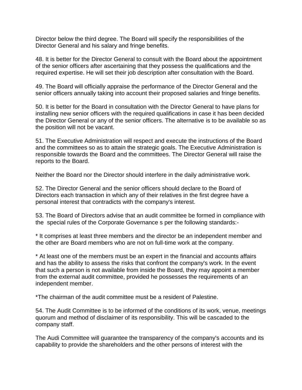Director below the third degree. The Board will specify the responsibilities of the Director General and his salary and fringe benefits.

48. It is better for the Director General to consult with the Board about the appointment of the senior officers after ascertaining that they possess the qualifications and the required expertise. He will set their job description after consultation with the Board.

49. The Board will officially appraise the performance of the Director General and the senior officers annually taking into account their proposed salaries and fringe benefits.

50. It is better for the Board in consultation with the Director General to have plans for installing new senior officers with the required qualifications in case it has been decided the Director General or any of the senior officers. The alternative is to be available so as the position will not be vacant.

51. The Executive Administration will respect and execute the instructions of the Board and the committees so as to attain the strategic goals. The Executive Administration is responsible towards the Board and the committees. The Director General will raise the reports to the Board.

Neither the Board nor the Director should interfere in the daily administrative work.

52. The Director General and the senior officers should declare to the Board of Directors each transaction in which any of their relatives in the first degree have a personal interest that contradicts with the company's interest.

53. The Board of Directors advise that an audit committee be formed in compliance with the special rules of the Corporate Governance s per the following standards:-

\* It comprises at least three members and the director be an independent member and the other are Board members who are not on full-time work at the company.

\* At least one of the members must be an expert in the financial and accounts affairs and has the ability to assess the risks that confront the company's work. In the event that such a person is not available from inside the Board, they may appoint a member from the external audit committee, provided he possesses the requirements of an independent member.

\*The chairman of the audit committee must be a resident of Palestine.

54. The Audit Committee is to be informed of the conditions of its work, venue, meetings quorum and method of disclaimer of its responsibility. This will be cascaded to the company staff.

The Audi Committee will guarantee the transparency of the company's accounts and its capability to provide the shareholders and the other persons of interest with the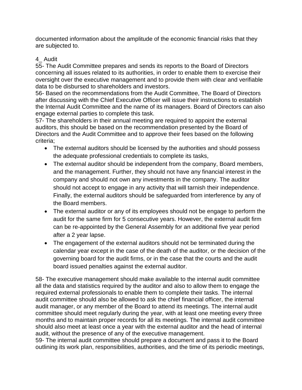documented information about the amplitude of the economic financial risks that they are subjected to.

# 4\_ Audit

55- The Audit Committee prepares and sends its reports to the Board of Directors concerning all issues related to its authorities, in order to enable them to exercise their oversight over the executive management and to provide them with clear and verifiable data to be disbursed to shareholders and investors.

56- Based on the recommendations from the Audit Committee, The Board of Directors after discussing with the Chief Executive Officer will issue their instructions to establish the Internal Audit Committee and the name of its managers. Board of Directors can also engage external parties to complete this task.

57- The shareholders in their annual meeting are required to appoint the external auditors, this should be based on the recommendation presented by the Board of Directors and the Audit Committee and to approve their fees based on the following criteria;

- The external auditors should be licensed by the authorities and should possess the adequate professional credentials to complete its tasks,
- The external auditor should be independent from the company, Board members, and the management. Further, they should not have any financial interest in the company and should not own any investments in the company. The auditor should not accept to engage in any activity that will tarnish their independence. Finally, the external auditors should be safeguarded from interference by any of the Board members.
- The external auditor or any of its employees should not be engage to perform the audit for the same firm for 5 consecutive years. However, the external audit firm can be re-appointed by the General Assembly for an additional five year period after a 2 year lapse.
- The engagement of the external auditors should not be terminated during the calendar year except in the case of the death of the auditor, or the decision of the governing board for the audit firms, or in the case that the courts and the audit board issued penalties against the external auditor.

58- The executive management should make available to the internal audit committee all the data and statistics required by the auditor and also to allow them to engage the required external professionals to enable them to complete their tasks. The internal audit committee should also be allowed to ask the chief financial officer, the internal audit manager, or any member of the Board to attend its meetings. The internal audit committee should meet regularly during the year, with at least one meeting every three months and to maintain proper records for all its meetings. The internal audit committee should also meet at least once a year with the external auditor and the head of internal audit, without the presence of any of the executive management.

59- The internal audit committee should prepare a document and pass it to the Board outlining its work plan, responsibilities, authorities, and the time of its periodic meetings,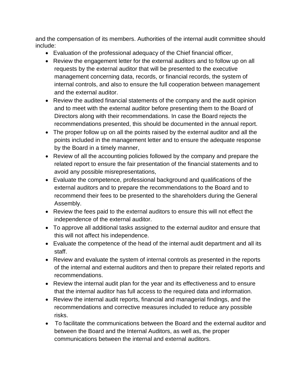and the compensation of its members. Authorities of the internal audit committee should include:

- Evaluation of the professional adequacy of the Chief financial officer,
- Review the engagement letter for the external auditors and to follow up on all requests by the external auditor that will be presented to the executive management concerning data, records, or financial records, the system of internal controls, and also to ensure the full cooperation between management and the external auditor.
- Review the audited financial statements of the company and the audit opinion and to meet with the external auditor before presenting them to the Board of Directors along with their recommendations. In case the Board rejects the recommendations presented, this should be documented in the annual report.
- The proper follow up on all the points raised by the external auditor and all the points included in the management letter and to ensure the adequate response by the Board in a timely manner,
- Review of all the accounting policies followed by the company and prepare the related report to ensure the fair presentation of the financial statements and to avoid any possible misrepresentations,
- Evaluate the competence, professional background and qualifications of the external auditors and to prepare the recommendations to the Board and to recommend their fees to be presented to the shareholders during the General Assembly.
- Review the fees paid to the external auditors to ensure this will not effect the independence of the external auditor.
- To approve all additional tasks assigned to the external auditor and ensure that this will not affect his independence.
- Evaluate the competence of the head of the internal audit department and all its staff.
- Review and evaluate the system of internal controls as presented in the reports of the internal and external auditors and then to prepare their related reports and recommendations.
- Review the internal audit plan for the year and its effectiveness and to ensure that the internal auditor has full access to the required data and information.
- Review the internal audit reports, financial and managerial findings, and the recommendations and corrective measures included to reduce any possible risks.
- To facilitate the communications between the Board and the external auditor and between the Board and the Internal Auditors, as well as, the proper communications between the internal and external auditors.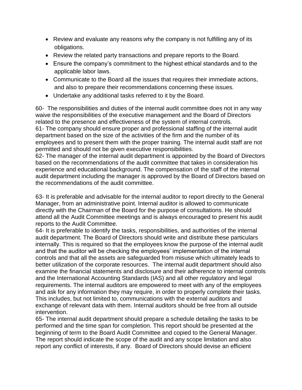- Review and evaluate any reasons why the company is not fulfilling any of its obligations.
- Review the related party transactions and prepare reports to the Board.
- Ensure the company's commitment to the highest ethical standards and to the applicable labor laws.
- Communicate to the Board all the issues that requires their immediate actions, and also to prepare their recommendations concerning these issues.
- Undertake any additional tasks referred to it by the Board.

60- The responsibilities and duties of the internal audit committee does not in any way waive the responsibilities of the executive management and the Board of Directors related to the presence and effectiveness of the system of internal controls. 61- The company should ensure proper and professional staffing of the internal audit department based on the size of the activities of the firm and the number of its employees and to present them with the proper training. The internal audit staff are not permitted and should not be given executive responsibilities.

62- The manager of the internal audit department is appointed by the Board of Directors based on the recommendations of the audit committee that takes in consideration his experience and educational background. The compensation of the staff of the internal audit department including the manager is approved by the Board of Directors based on the recommendations of the audit committee.

63- It is preferable and advisable for the internal auditor to report directly to the General Manager, from an administrative point. Internal auditor is allowed to communicate directly with the Chairman of the Board for the purpose of consultations. He should attend all the Audit Committee meetings and is always encouraged to present his audit reports to the Audit Committee.

64- It is preferable to identify the tasks, responsibilities, and authorities of the internal audit department. The Board of Directors should write and distribute these particulars internally. This is required so that the employees know the purpose of the internal audit and that the auditor will be checking the employees' implementation of the internal controls and that all the assets are safeguarded from misuse which ultimately leads to better utilization of the corporate resources. The internal audit department should also examine the financial statements and disclosure and their adherence to internal controls and the International Accounting Standards (IAS) and all other regulatory and legal requirements. The internal auditors are empowered to meet with any of the employees and ask for any information they may require, in order to properly complete their tasks. This includes, but not limited to, communications with the external auditors and exchange of relevant data with them. Internal auditors should be free from all outside intervention.

65- The internal audit department should prepare a schedule detailing the tasks to be performed and the time span for completion. This report should be presented at the beginning of term to the Board Audit Committee and copied to the General Manager. The report should indicate the scope of the audit and any scope limitation and also report any conflict of interests, if any. Board of Directors should devise an efficient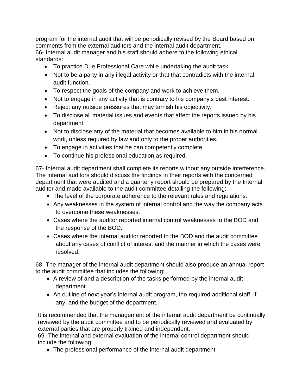program for the internal audit that will be periodically revised by the Board based on comments from the external auditors and the internal audit department. 66- Internal audit manager and his staff should adhere to the following ethical standards:

- To practice Due Professional Care while undertaking the audit task.
- Not to be a party in any illegal activity or that that contradicts with the internal audit function.
- To respect the goals of the company and work to achieve them.
- Not to engage in any activity that is contrary to his company's best interest.
- Reject any outside pressures that may tarnish his objectivity.
- To disclose all material issues and events that affect the reports issued by his department.
- Not to disclose any of the material that becomes available to him in his normal work, unless required by law and only to the proper authorities.
- To engage in activities that he can competently complete.
- To continue his professional education as required.

67- Internal audit department shall complete its reports without any outside interference. The internal auditors should discuss the findings in their reports with the concerned department that were audited and a quarterly report should be prepared by the Internal auditor and made available to the audit committee detailing the following:

- The level of the corporate adherence to the relevant rules and regulations.
- Any weaknesses in the system of internal control and the way the company acts to overcome these weaknesses.
- Cases where the auditor reported internal control weaknesses to the BOD and the response of the BOD.
- Cases where the internal auditor reported to the BOD and the audit committee about any cases of conflict of interest and the manner in which the cases were resolved.

68- The manager of the internal audit department should also produce an annual report to the audit committee that includes the following:

- A review of and a description of the tasks performed by the internal audit department.
- An outline of next year's internal audit program, the required additional staff, if any, and the budget of the department.

It is recommended that the management of the internal audit department be continually reviewed by the audit committee and to be periodically reviewed and evaluated by external parties that are properly trained and independent.

69- The internal and external evaluation of the internal control department should include the following:

The professional performance of the internal audit department.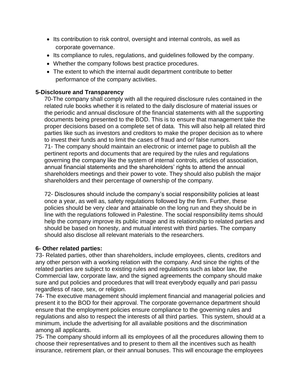- Its contribution to risk control, oversight and internal controls, as well as corporate governance.
- Its compliance to rules, regulations, and guidelines followed by the company.
- Whether the company follows best practice procedures.
- The extent to which the internal audit department contribute to better performance of the company activities.

# **5-Disclosure and Transparency**

70-The company shall comply with all the required disclosure rules contained in the related rule books whether it is related to the daily disclosure of material issues or the periodic and annual disclosure of the financial statements with all the supporting documents being presented to the BOD. This is to ensure that management take the proper decisions based on a complete set of data. This will also help all related third parties like such as investors and creditors to make the proper decision as to where to invest their funds and to limit the cases of fraud and or/ false rumors. 71- The company should maintain an electronic or internet page to publish all the pertinent reports and documents that are required by the rules and regulations

governing the company like the system of internal controls, articles of association, annual financial statements and the shareholders' rights to attend the annual shareholders meetings and their power to vote. They should also publish the major shareholders and their percentage of ownership of the company.

72- Disclosures should include the company's social responsibility policies at least once a year, as well as, safety regulations followed by the firm. Further, these policies should be very clear and attainable on the long run and they should be in line with the regulations followed in Palestine. The social responsibility items should help the company improve its public image and its relationship to related parties and should be based on honesty, and mutual interest with third parties. The company should also disclose all relevant materials to the researchers.

# **6- Other related parties:**

73- Related parties, other than shareholders, include employees, clients, creditors and any other person with a working relation with the company. And since the rights of the related parties are subject to existing rules and regulations such as labor law, the Commercial law, corporate law, and the signed agreements the company should make sure and put policies and procedures that will treat everybody equally and pari passu regardless of race, sex, or religion.

74- The executive management should implement financial and managerial policies and present it to the BOD for their approval. The corporate governance department should ensure that the employment policies ensure compliance to the governing rules and regulations and also to respect the interests of all third parties. This system, should at a minimum, include the advertising for all available positions and the discrimination among all applicants.

75- The company should inform all its employees of all the procedures allowing them to choose their representatives and to present to them all the incentives such as health insurance, retirement plan, or their annual bonuses. This will encourage the employees